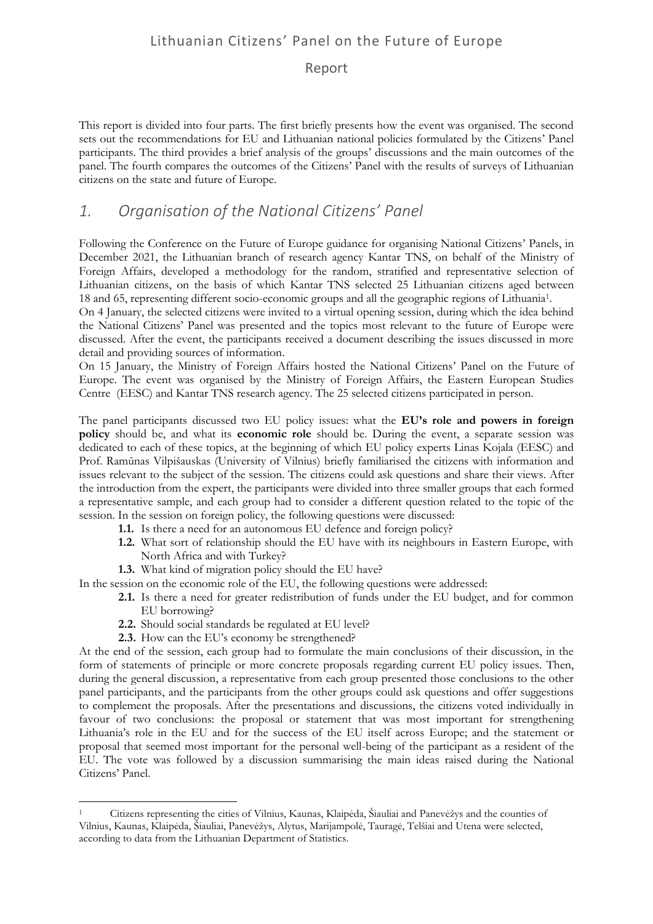#### Report

This report is divided into four parts. The first briefly presents how the event was organised. The second sets out the recommendations for EU and Lithuanian national policies formulated by the Citizens' Panel participants. The third provides a brief analysis of the groups' discussions and the main outcomes of the panel. The fourth compares the outcomes of the Citizens' Panel with the results of surveys of Lithuanian citizens on the state and future of Europe.

### *1. Organisation of the National Citizens' Panel*

Following the Conference on the Future of Europe guidance for organising National Citizens' Panels, in December 2021, the Lithuanian branch of research agency Kantar TNS, on behalf of the Ministry of Foreign Affairs, developed a methodology for the random, stratified and representative selection of Lithuanian citizens, on the basis of which Kantar TNS selected 25 Lithuanian citizens aged between 18 and 65, representing different socio-economic groups and all the geographic regions of Lithuania<sup>1</sup> .

On 4 January, the selected citizens were invited to a virtual opening session, during which the idea behind the National Citizens' Panel was presented and the topics most relevant to the future of Europe were discussed. After the event, the participants received a document describing the issues discussed in more detail and providing sources of information.

On 15 January, the Ministry of Foreign Affairs hosted the National Citizens' Panel on the Future of Europe. The event was organised by the Ministry of Foreign Affairs, the Eastern European Studies Centre (EESC) and Kantar TNS research agency. The 25 selected citizens participated in person.

The panel participants discussed two EU policy issues: what the **EU's role and powers in foreign policy** should be, and what its **economic role** should be. During the event, a separate session was dedicated to each of these topics, at the beginning of which EU policy experts Linas Kojala (EESC) and Prof. Ramūnas Vilpišauskas (University of Vilnius) briefly familiarised the citizens with information and issues relevant to the subject of the session. The citizens could ask questions and share their views. After the introduction from the expert, the participants were divided into three smaller groups that each formed a representative sample, and each group had to consider a different question related to the topic of the session. In the session on foreign policy, the following questions were discussed:

- **1.1.** Is there a need for an autonomous EU defence and foreign policy?
- **1.2.** What sort of relationship should the EU have with its neighbours in Eastern Europe, with North Africa and with Turkey?
- **1.3.** What kind of migration policy should the EU have?

In the session on the economic role of the EU, the following questions were addressed:

- **2.1.** Is there a need for greater redistribution of funds under the EU budget, and for common EU borrowing?
- **2.2.** Should social standards be regulated at EU level?
- **2.3.** How can the EU's economy be strengthened?

1

At the end of the session, each group had to formulate the main conclusions of their discussion, in the form of statements of principle or more concrete proposals regarding current EU policy issues. Then, during the general discussion, a representative from each group presented those conclusions to the other panel participants, and the participants from the other groups could ask questions and offer suggestions to complement the proposals. After the presentations and discussions, the citizens voted individually in favour of two conclusions: the proposal or statement that was most important for strengthening Lithuania's role in the EU and for the success of the EU itself across Europe; and the statement or proposal that seemed most important for the personal well-being of the participant as a resident of the EU. The vote was followed by a discussion summarising the main ideas raised during the National Citizens' Panel.

<sup>1</sup> Citizens representing the cities of Vilnius, Kaunas, Klaipėda, Šiauliai and Panevėžys and the counties of Vilnius, Kaunas, Klaipėda, Šiauliai, Panevėžys, Alytus, Marijampolė, Tauragė, Telšiai and Utena were selected, according to data from the Lithuanian Department of Statistics.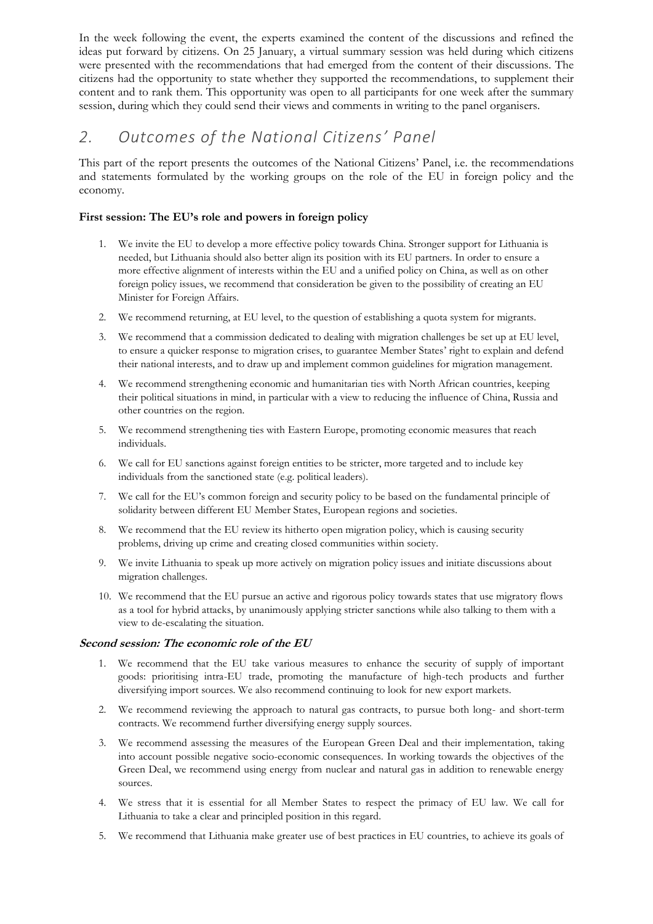In the week following the event, the experts examined the content of the discussions and refined the ideas put forward by citizens. On 25 January, a virtual summary session was held during which citizens were presented with the recommendations that had emerged from the content of their discussions. The citizens had the opportunity to state whether they supported the recommendations, to supplement their content and to rank them. This opportunity was open to all participants for one week after the summary session, during which they could send their views and comments in writing to the panel organisers.

# *2. Outcomes of the National Citizens' Panel*

This part of the report presents the outcomes of the National Citizens' Panel, i.e. the recommendations and statements formulated by the working groups on the role of the EU in foreign policy and the economy.

#### **First session: The EU's role and powers in foreign policy**

- 1. We invite the EU to develop a more effective policy towards China. Stronger support for Lithuania is needed, but Lithuania should also better align its position with its EU partners. In order to ensure a more effective alignment of interests within the EU and a unified policy on China, as well as on other foreign policy issues, we recommend that consideration be given to the possibility of creating an EU Minister for Foreign Affairs.
- 2. We recommend returning, at EU level, to the question of establishing a quota system for migrants.
- 3. We recommend that a commission dedicated to dealing with migration challenges be set up at EU level, to ensure a quicker response to migration crises, to guarantee Member States' right to explain and defend their national interests, and to draw up and implement common guidelines for migration management.
- 4. We recommend strengthening economic and humanitarian ties with North African countries, keeping their political situations in mind, in particular with a view to reducing the influence of China, Russia and other countries on the region.
- 5. We recommend strengthening ties with Eastern Europe, promoting economic measures that reach individuals.
- 6. We call for EU sanctions against foreign entities to be stricter, more targeted and to include key individuals from the sanctioned state (e.g. political leaders).
- 7. We call for the EU's common foreign and security policy to be based on the fundamental principle of solidarity between different EU Member States, European regions and societies.
- 8. We recommend that the EU review its hitherto open migration policy, which is causing security problems, driving up crime and creating closed communities within society.
- 9. We invite Lithuania to speak up more actively on migration policy issues and initiate discussions about migration challenges.
- 10. We recommend that the EU pursue an active and rigorous policy towards states that use migratory flows as a tool for hybrid attacks, by unanimously applying stricter sanctions while also talking to them with a view to de-escalating the situation.

#### **Second session: The economic role of the EU**

- 1. We recommend that the EU take various measures to enhance the security of supply of important goods: prioritising intra-EU trade, promoting the manufacture of high-tech products and further diversifying import sources. We also recommend continuing to look for new export markets.
- 2. We recommend reviewing the approach to natural gas contracts, to pursue both long- and short-term contracts. We recommend further diversifying energy supply sources.
- 3. We recommend assessing the measures of the European Green Deal and their implementation, taking into account possible negative socio-economic consequences. In working towards the objectives of the Green Deal, we recommend using energy from nuclear and natural gas in addition to renewable energy sources.
- 4. We stress that it is essential for all Member States to respect the primacy of EU law. We call for Lithuania to take a clear and principled position in this regard.
- 5. We recommend that Lithuania make greater use of best practices in EU countries, to achieve its goals of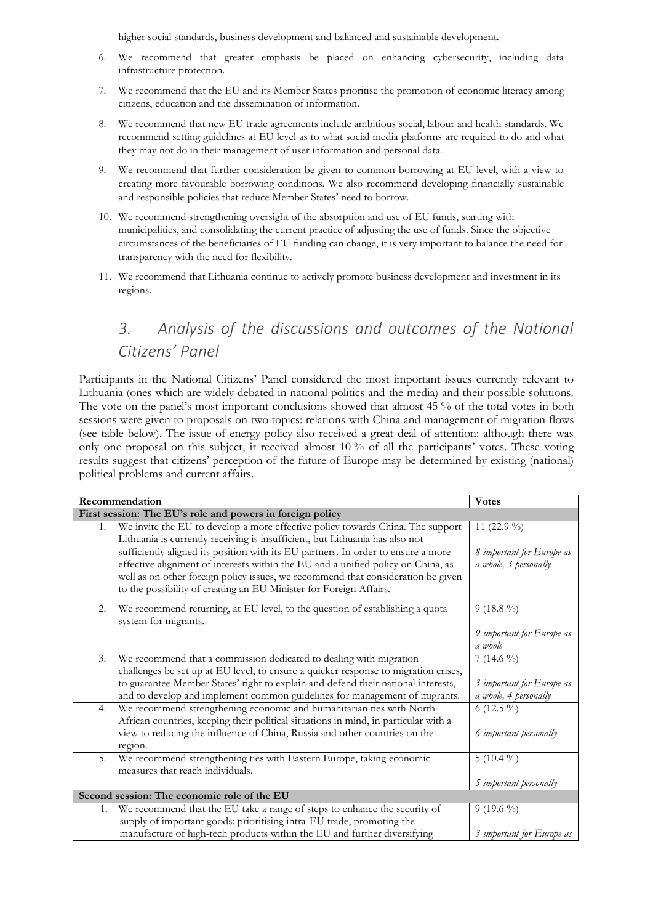higher social standards, business development and balanced and sustainable development.

- 6. We recommend that greater emphasis be placed on enhancing cybersecurity, including data infrastructure protection.
- 7. We recommend that the EU and its Member States prioritise the promotion of economic literacy among citizens, education and the dissemination of information.
- 8. We recommend that new EU trade agreements include ambitious social, labour and health standards. We recommend setting guidelines at EU level as to what social media platforms are required to do and what they may not do in their management of user information and personal data.
- 9. We recommend that further consideration be given to common borrowing at EU level, with a view to creating more favourable borrowing conditions. We also recommend developing financially sustainable and responsible policies that reduce Member States' need to borrow.
- 10. We recommend strengthening oversight of the absorption and use of EU funds, starting with municipalities, and consolidating the current practice of adjusting the use of funds. Since the objective circumstances of the beneficiaries of EU funding can change, it is very important to balance the need for transparency with the need for flexibility.
- 11. We recommend that Lithuania continue to actively promote business development and investment in its regions.

# *3. Analysis of the discussions and outcomes of the National Citizens' Panel*

Participants in the National Citizens' Panel considered the most important issues currently relevant to Lithuania (ones which are widely debated in national politics and the media) and their possible solutions. The vote on the panel's most important conclusions showed that almost 45 % of the total votes in both sessions were given to proposals on two topics: relations with China and management of migration flows (see table below). The issue of energy policy also received a great deal of attention: although there was only one proposal on this subject, it received almost 10 % of all the participants' votes. These voting results suggest that citizens' perception of the future of Europe may be determined by existing (national) political problems and current affairs.

| Recommendation                                            |                                                                                                                                                                                                                                                                                                                                 | <b>Votes</b>                                       |  |
|-----------------------------------------------------------|---------------------------------------------------------------------------------------------------------------------------------------------------------------------------------------------------------------------------------------------------------------------------------------------------------------------------------|----------------------------------------------------|--|
| First session: The EU's role and powers in foreign policy |                                                                                                                                                                                                                                                                                                                                 |                                                    |  |
| 1.                                                        | We invite the EU to develop a more effective policy towards China. The support<br>Lithuania is currently receiving is insufficient, but Lithuania has also not                                                                                                                                                                  | 11 (22.9 %)                                        |  |
|                                                           | sufficiently aligned its position with its EU partners. In order to ensure a more<br>effective alignment of interests within the EU and a unified policy on China, as<br>well as on other foreign policy issues, we recommend that consideration be given<br>to the possibility of creating an EU Minister for Foreign Affairs. | 8 important for Europe as<br>a whole, 3 personally |  |
| 2.                                                        | We recommend returning, at EU level, to the question of establishing a quota<br>system for migrants.                                                                                                                                                                                                                            | $9(18.8\%)$                                        |  |
|                                                           |                                                                                                                                                                                                                                                                                                                                 | 9 important for Europe as<br>a whole               |  |
| 3.                                                        | We recommend that a commission dedicated to dealing with migration<br>challenges be set up at EU level, to ensure a quicker response to migration crises,                                                                                                                                                                       | 7 (14.6 %)                                         |  |
|                                                           | to guarantee Member States' right to explain and defend their national interests,<br>and to develop and implement common guidelines for management of migrants.                                                                                                                                                                 | 3 important for Europe as<br>a whole, 4 personally |  |
| 4.                                                        | We recommend strengthening economic and humanitarian ties with North<br>African countries, keeping their political situations in mind, in particular with a                                                                                                                                                                     | 6 (12.5 %)                                         |  |
|                                                           | view to reducing the influence of China, Russia and other countries on the<br>region.                                                                                                                                                                                                                                           | 6 important personally                             |  |
| 5.                                                        | We recommend strengthening ties with Eastern Europe, taking economic<br>measures that reach individuals.                                                                                                                                                                                                                        | 5 $(10.4\%)$                                       |  |
|                                                           |                                                                                                                                                                                                                                                                                                                                 | 5 important personally                             |  |
| Second session: The economic role of the EU               |                                                                                                                                                                                                                                                                                                                                 |                                                    |  |
| 1.                                                        | We recommend that the EU take a range of steps to enhance the security of                                                                                                                                                                                                                                                       | $9(19.6\%)$                                        |  |
|                                                           | supply of important goods: prioritising intra-EU trade, promoting the                                                                                                                                                                                                                                                           |                                                    |  |
|                                                           | manufacture of high-tech products within the EU and further diversifying                                                                                                                                                                                                                                                        | 3 important for Europe as                          |  |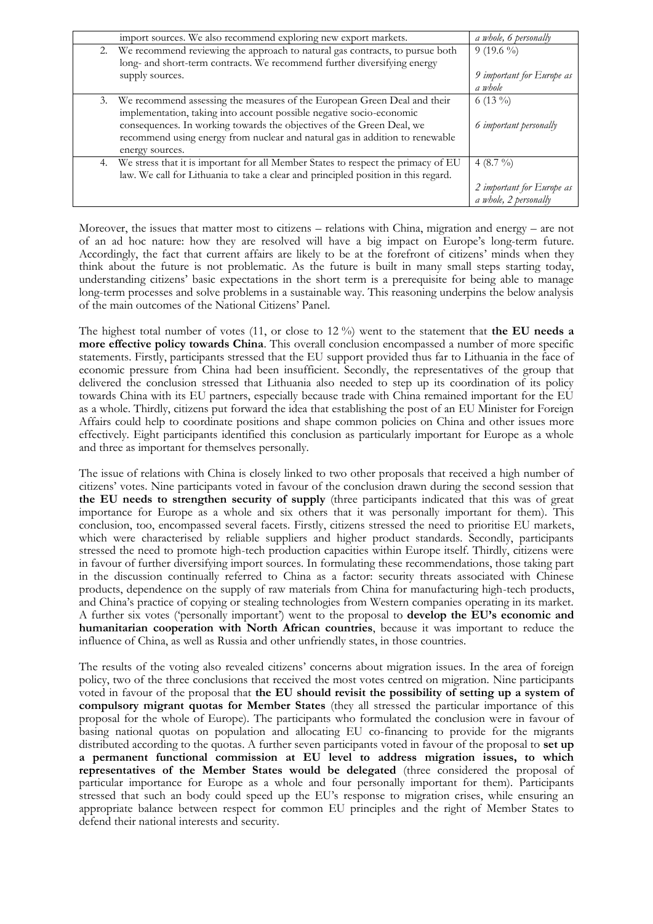|    | import sources. We also recommend exploring new export markets.                    | a whole, 6 personally         |
|----|------------------------------------------------------------------------------------|-------------------------------|
|    | 2. We recommend reviewing the approach to natural gas contracts, to pursue both    | $9(19.6\%)$                   |
|    | long- and short-term contracts. We recommend further diversifying energy           |                               |
|    | supply sources.                                                                    | 9 important for Europe as     |
|    |                                                                                    | a whole                       |
| 3. | We recommend assessing the measures of the European Green Deal and their           | 6 (13 $\%$ )                  |
|    | implementation, taking into account possible negative socio-economic               |                               |
|    | consequences. In working towards the objectives of the Green Deal, we              | 6 <i>important</i> personally |
|    | recommend using energy from nuclear and natural gas in addition to renewable       |                               |
|    | energy sources.                                                                    |                               |
| 4. | We stress that it is important for all Member States to respect the primacy of EU  | 4 $(8.7\frac{9}{0})$          |
|    | law. We call for Lithuania to take a clear and principled position in this regard. |                               |
|    |                                                                                    | 2 important for Europe as     |
|    |                                                                                    | a whole, 2 personally         |

Moreover, the issues that matter most to citizens – relations with China, migration and energy – are not of an ad hoc nature: how they are resolved will have a big impact on Europe's long-term future. Accordingly, the fact that current affairs are likely to be at the forefront of citizens' minds when they think about the future is not problematic. As the future is built in many small steps starting today, understanding citizens' basic expectations in the short term is a prerequisite for being able to manage long-term processes and solve problems in a sustainable way. This reasoning underpins the below analysis of the main outcomes of the National Citizens' Panel.

The highest total number of votes (11, or close to 12 %) went to the statement that **the EU needs a more effective policy towards China**. This overall conclusion encompassed a number of more specific statements. Firstly, participants stressed that the EU support provided thus far to Lithuania in the face of economic pressure from China had been insufficient. Secondly, the representatives of the group that delivered the conclusion stressed that Lithuania also needed to step up its coordination of its policy towards China with its EU partners, especially because trade with China remained important for the EU as a whole. Thirdly, citizens put forward the idea that establishing the post of an EU Minister for Foreign Affairs could help to coordinate positions and shape common policies on China and other issues more effectively. Eight participants identified this conclusion as particularly important for Europe as a whole and three as important for themselves personally.

The issue of relations with China is closely linked to two other proposals that received a high number of citizens' votes. Nine participants voted in favour of the conclusion drawn during the second session that **the EU needs to strengthen security of supply** (three participants indicated that this was of great importance for Europe as a whole and six others that it was personally important for them). This conclusion, too, encompassed several facets. Firstly, citizens stressed the need to prioritise EU markets, which were characterised by reliable suppliers and higher product standards. Secondly, participants stressed the need to promote high-tech production capacities within Europe itself. Thirdly, citizens were in favour of further diversifying import sources. In formulating these recommendations, those taking part in the discussion continually referred to China as a factor: security threats associated with Chinese products, dependence on the supply of raw materials from China for manufacturing high-tech products, and China's practice of copying or stealing technologies from Western companies operating in its market. A further six votes ('personally important') went to the proposal to **develop the EU's economic and humanitarian cooperation with North African countries**, because it was important to reduce the influence of China, as well as Russia and other unfriendly states, in those countries.

The results of the voting also revealed citizens' concerns about migration issues. In the area of foreign policy, two of the three conclusions that received the most votes centred on migration. Nine participants voted in favour of the proposal that **the EU should revisit the possibility of setting up a system of compulsory migrant quotas for Member States** (they all stressed the particular importance of this proposal for the whole of Europe). The participants who formulated the conclusion were in favour of basing national quotas on population and allocating EU co-financing to provide for the migrants distributed according to the quotas. A further seven participants voted in favour of the proposal to **set up a permanent functional commission at EU level to address migration issues, to which representatives of the Member States would be delegated** (three considered the proposal of particular importance for Europe as a whole and four personally important for them). Participants stressed that such an body could speed up the EU's response to migration crises, while ensuring an appropriate balance between respect for common EU principles and the right of Member States to defend their national interests and security.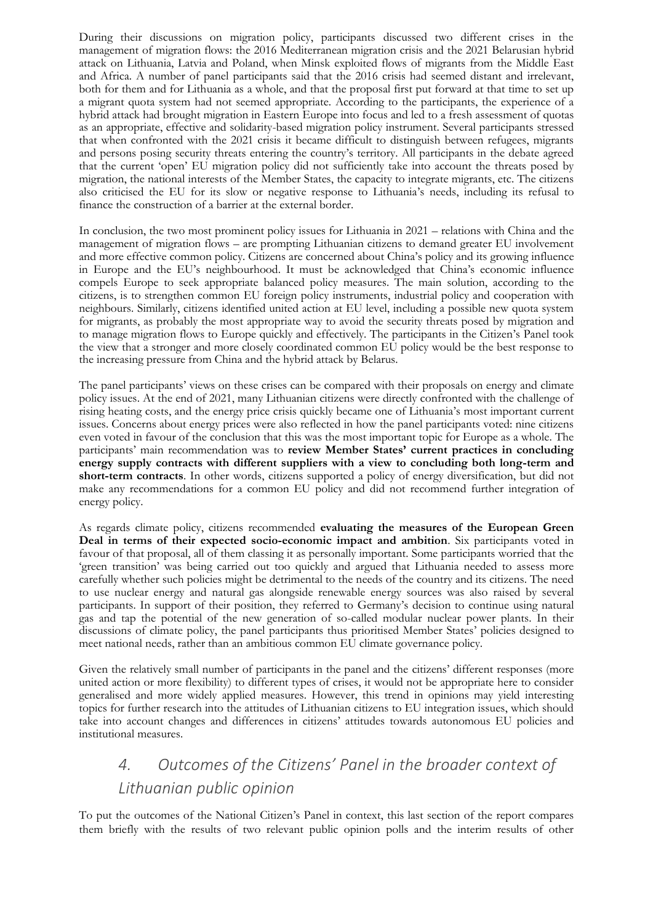During their discussions on migration policy, participants discussed two different crises in the management of migration flows: the 2016 Mediterranean migration crisis and the 2021 Belarusian hybrid attack on Lithuania, Latvia and Poland, when Minsk exploited flows of migrants from the Middle East and Africa. A number of panel participants said that the 2016 crisis had seemed distant and irrelevant, both for them and for Lithuania as a whole, and that the proposal first put forward at that time to set up a migrant quota system had not seemed appropriate. According to the participants, the experience of a hybrid attack had brought migration in Eastern Europe into focus and led to a fresh assessment of quotas as an appropriate, effective and solidarity-based migration policy instrument. Several participants stressed that when confronted with the 2021 crisis it became difficult to distinguish between refugees, migrants and persons posing security threats entering the country's territory. All participants in the debate agreed that the current 'open' EU migration policy did not sufficiently take into account the threats posed by migration, the national interests of the Member States, the capacity to integrate migrants, etc. The citizens also criticised the EU for its slow or negative response to Lithuania's needs, including its refusal to finance the construction of a barrier at the external border.

In conclusion, the two most prominent policy issues for Lithuania in 2021 – relations with China and the management of migration flows – are prompting Lithuanian citizens to demand greater EU involvement and more effective common policy. Citizens are concerned about China's policy and its growing influence in Europe and the EU's neighbourhood. It must be acknowledged that China's economic influence compels Europe to seek appropriate balanced policy measures. The main solution, according to the citizens, is to strengthen common EU foreign policy instruments, industrial policy and cooperation with neighbours. Similarly, citizens identified united action at EU level, including a possible new quota system for migrants, as probably the most appropriate way to avoid the security threats posed by migration and to manage migration flows to Europe quickly and effectively. The participants in the Citizen's Panel took the view that a stronger and more closely coordinated common EU policy would be the best response to the increasing pressure from China and the hybrid attack by Belarus.

The panel participants' views on these crises can be compared with their proposals on energy and climate policy issues. At the end of 2021, many Lithuanian citizens were directly confronted with the challenge of rising heating costs, and the energy price crisis quickly became one of Lithuania's most important current issues. Concerns about energy prices were also reflected in how the panel participants voted: nine citizens even voted in favour of the conclusion that this was the most important topic for Europe as a whole. The participants' main recommendation was to **review Member States' current practices in concluding energy supply contracts with different suppliers with a view to concluding both long-term and short-term contracts**. In other words, citizens supported a policy of energy diversification, but did not make any recommendations for a common EU policy and did not recommend further integration of energy policy.

As regards climate policy, citizens recommended **evaluating the measures of the European Green Deal in terms of their expected socio-economic impact and ambition**. Six participants voted in favour of that proposal, all of them classing it as personally important. Some participants worried that the 'green transition' was being carried out too quickly and argued that Lithuania needed to assess more carefully whether such policies might be detrimental to the needs of the country and its citizens. The need to use nuclear energy and natural gas alongside renewable energy sources was also raised by several participants. In support of their position, they referred to Germany's decision to continue using natural gas and tap the potential of the new generation of so-called modular nuclear power plants. In their discussions of climate policy, the panel participants thus prioritised Member States' policies designed to meet national needs, rather than an ambitious common EU climate governance policy.

Given the relatively small number of participants in the panel and the citizens' different responses (more united action or more flexibility) to different types of crises, it would not be appropriate here to consider generalised and more widely applied measures. However, this trend in opinions may yield interesting topics for further research into the attitudes of Lithuanian citizens to EU integration issues, which should take into account changes and differences in citizens' attitudes towards autonomous EU policies and institutional measures.

## *4. Outcomes of the Citizens' Panel in the broader context of Lithuanian public opinion*

To put the outcomes of the National Citizen's Panel in context, this last section of the report compares them briefly with the results of two relevant public opinion polls and the interim results of other